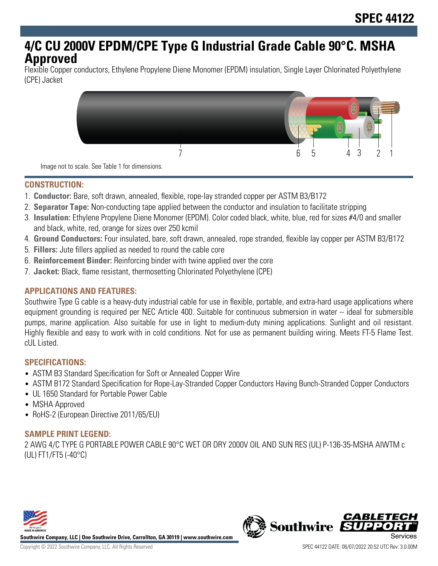# **4/C CU 2000V EPDM/CPE Type G Industrial Grade Cable 90°C. MSHA Approved**

Flexible Copper conductors, Ethylene Propylene Diene Monomer (EPDM) insulation, Single Layer Chlorinated Polyethylene (CPE) Jacket



Image not to scale. See Table 1 for dimensions.

#### **CONSTRUCTION:**

- 1. **Conductor:** Bare, soft drawn, annealed, flexible, rope-lay stranded copper per ASTM B3/B172
- 2. **Separator Tape:** Non-conducting tape applied between the conductor and insulation to facilitate stripping
- 3. **Insulation:** Ethylene Propylene Diene Monomer (EPDM). Color coded black, white, blue, red for sizes #4/0 and smaller and black, white, red, orange for sizes over 250 kcmil
- 4. **Ground Conductors:** Four insulated, bare, soft drawn, annealed, rope stranded, flexible lay copper per ASTM B3/B172
- 5. **Fillers:** Jute fillers applied as needed to round the cable core
- 6. **Reinforcement Binder:** Reinforcing binder with twine applied over the core
- 7. **Jacket:** Black, flame resistant, thermosetting Chlorinated Polyethylene (CPE)

# **APPLICATIONS AND FEATURES:**

Southwire Type G cable is a heavy-duty industrial cable for use in flexible, portable, and extra-hard usage applications where equipment grounding is required per NEC Article 400. Suitable for continuous submersion in water – ideal for submersible pumps, marine application. Also suitable for use in light to medium-duty mining applications. Sunlight and oil resistant. Highly flexible and easy to work with in cold conditions. Not for use as permanent building wiring. Meets FT-5 Flame Test. cUL Listed.

# **SPECIFICATIONS:**

- ASTM B3 Standard Specification for Soft or Annealed Copper Wire
- ASTM B172 Standard Specification for Rope-Lay-Stranded Copper Conductors Having Bunch-Stranded Copper Conductors
- UL 1650 Standard for Portable Power Cable
- MSHA Approved
- RoHS-2 (European Directive 2011/65/EU)

# **SAMPLE PRINT LEGEND:**

2 AWG 4/C TYPE G PORTABLE POWER CABLE 90°C WET OR DRY 2000V OIL AND SUN RES (UL) P-136-35-MSHA AIWTM c (UL) FT1/FT5 (-40°C)



**Southwire Company, LLC | One Southwire Drive, Carrollton, GA 30119 | www.southwire.com**